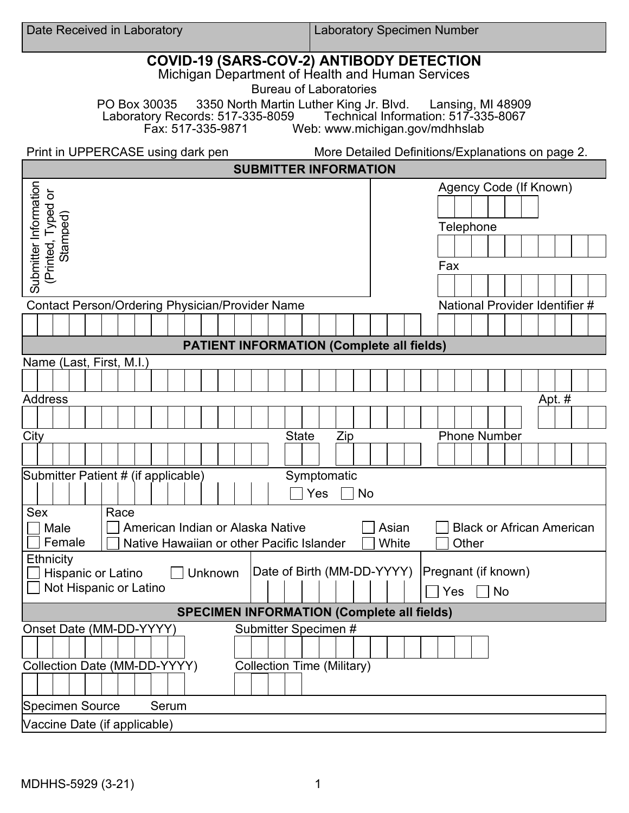| Date Received in Laboratory |  |
|-----------------------------|--|
|-----------------------------|--|

Laboratory Specimen Number

| <b>COVID-19 (SARS-COV-2) ANTIBODY DETECTION</b><br>Michigan Department of Health and Human Services                                                                                |                                                   |  |
|------------------------------------------------------------------------------------------------------------------------------------------------------------------------------------|---------------------------------------------------|--|
| <b>Bureau of Laboratories</b>                                                                                                                                                      |                                                   |  |
|                                                                                                                                                                                    |                                                   |  |
| PO Box 30035 3350 North Martin Luther King Jr. Blvd. Lansing, MI 48909<br>Laboratory Records: 517-335-8059 Technical Information: 517-335-8067<br>Laboratory Records: 517-335-8059 |                                                   |  |
| Fax: 517-335-9871<br>Web: www.michigan.gov/mdhhslab                                                                                                                                |                                                   |  |
| Print in UPPERCASE using dark pen                                                                                                                                                  | More Detailed Definitions/Explanations on page 2. |  |
| <b>SUBMITTER INFORMATION</b>                                                                                                                                                       |                                                   |  |
|                                                                                                                                                                                    | Agency Code (If Known)                            |  |
| Typed or                                                                                                                                                                           |                                                   |  |
|                                                                                                                                                                                    |                                                   |  |
| Stamped)                                                                                                                                                                           | Telephone                                         |  |
| (Printed,                                                                                                                                                                          |                                                   |  |
|                                                                                                                                                                                    | Fax                                               |  |
| Submitter Information                                                                                                                                                              |                                                   |  |
| <b>Contact Person/Ordering Physician/Provider Name</b>                                                                                                                             | National Provider Identifier #                    |  |
|                                                                                                                                                                                    |                                                   |  |
| <b>PATIENT INFORMATION (Complete all fields)</b>                                                                                                                                   |                                                   |  |
| Name (Last, First, M.I.)                                                                                                                                                           |                                                   |  |
|                                                                                                                                                                                    |                                                   |  |
| <b>Address</b>                                                                                                                                                                     | Apt. #                                            |  |
|                                                                                                                                                                                    |                                                   |  |
|                                                                                                                                                                                    |                                                   |  |
| <b>State</b><br>City<br>Zip                                                                                                                                                        | <b>Phone Number</b>                               |  |
|                                                                                                                                                                                    |                                                   |  |
| Submitter Patient # (if applicable)<br>Symptomatic                                                                                                                                 |                                                   |  |
| No<br>Yes                                                                                                                                                                          |                                                   |  |
| <b>Sex</b><br>Race                                                                                                                                                                 |                                                   |  |
| Male<br>American Indian or Alaska Native                                                                                                                                           | Asian<br><b>Black or African American</b>         |  |
| Female<br>Native Hawaiian or other Pacific Islander                                                                                                                                | White<br>Other                                    |  |
| Ethnicity                                                                                                                                                                          |                                                   |  |
| Date of Birth (MM-DD-YYYY)<br>Hispanic or Latino<br>Unknown                                                                                                                        | Pregnant (if known)                               |  |
| Not Hispanic or Latino                                                                                                                                                             | Yes<br>No                                         |  |
| <b>SPECIMEN INFORMATION (Complete all fields)</b>                                                                                                                                  |                                                   |  |
| Submitter Specimen #<br>Onset Date (MM-DD-YYYY)                                                                                                                                    |                                                   |  |
|                                                                                                                                                                                    |                                                   |  |
| Collection Date (MM-DD-YYYY)<br><b>Collection Time (Military)</b>                                                                                                                  |                                                   |  |
|                                                                                                                                                                                    |                                                   |  |
|                                                                                                                                                                                    |                                                   |  |
| Specimen Source<br>Serum                                                                                                                                                           |                                                   |  |
| Vaccine Date (if applicable)                                                                                                                                                       |                                                   |  |